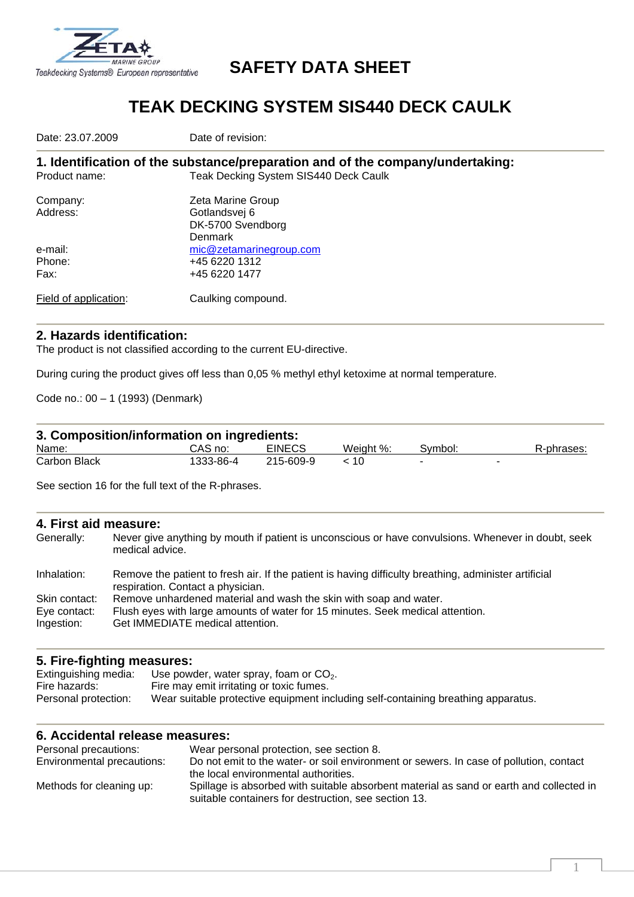

## **SAFETY DATA SHEET**

## **TEAK DECKING SYSTEM SIS440 DECK CAULK**

Date: 23.07.2009 **Date of revision:** 

**1. Identification of the substance/preparation and of the company/undertaking:**  Product name: Teak Decking System SIS440 Deck Caulk

| Company:              | Zeta Marine Group       |
|-----------------------|-------------------------|
| Address:              | Gotlandsvej 6           |
|                       | DK-5700 Svendborg       |
|                       | Denmark                 |
| e-mail:               | mic@zetamarinegroup.com |
| Phone:                | +45 6220 1312           |
| Fax:                  | +45 6220 1477           |
|                       |                         |
| Field of application: | Caulking compound.      |

#### **2. Hazards identification:**

The product is not classified according to the current EU-directive.

During curing the product gives off less than 0,05 % methyl ethyl ketoxime at normal temperature.

Code no.: 00 – 1 (1993) (Denmark)

#### **3. Composition/information on ingredients:**

| Name:               | CAS no:   | <b>EINECS</b> | Weight %. | Svmbol: | R-phrases: |
|---------------------|-----------|---------------|-----------|---------|------------|
| <b>Carbon Black</b> | 1333-86-4 | 215-609-9     | ١U        |         |            |

See section 16 for the full text of the R-phrases.

#### **4. First aid measure:**

| Generally:    | Never give anything by mouth if patient is unconscious or have convulsions. Whenever in doubt, seek<br>medical advice.                     |
|---------------|--------------------------------------------------------------------------------------------------------------------------------------------|
| Inhalation:   | Remove the patient to fresh air. If the patient is having difficulty breathing, administer artificial<br>respiration. Contact a physician. |
| Skin contact: | Remove unhardened material and wash the skin with soap and water.                                                                          |
| Eye contact:  | Flush eyes with large amounts of water for 15 minutes. Seek medical attention.                                                             |
| Ingestion:    | Get IMMEDIATE medical attention.                                                                                                           |

#### **5. Fire-fighting measures:**

| Extinguishing media: | Use powder, water spray, foam or $CO2$ .                                          |
|----------------------|-----------------------------------------------------------------------------------|
| Fire hazards:        | Fire may emit irritating or toxic fumes.                                          |
| Personal protection: | Wear suitable protective equipment including self-containing breathing apparatus. |

#### **6. Accidental release measures:**

| Personal precautions:      | Wear personal protection, see section 8.                                                |
|----------------------------|-----------------------------------------------------------------------------------------|
| Environmental precautions: | Do not emit to the water- or soil environment or sewers. In case of pollution, contact  |
|                            | the local environmental authorities.                                                    |
| Methods for cleaning up:   | Spillage is absorbed with suitable absorbent material as sand or earth and collected in |
|                            | suitable containers for destruction, see section 13.                                    |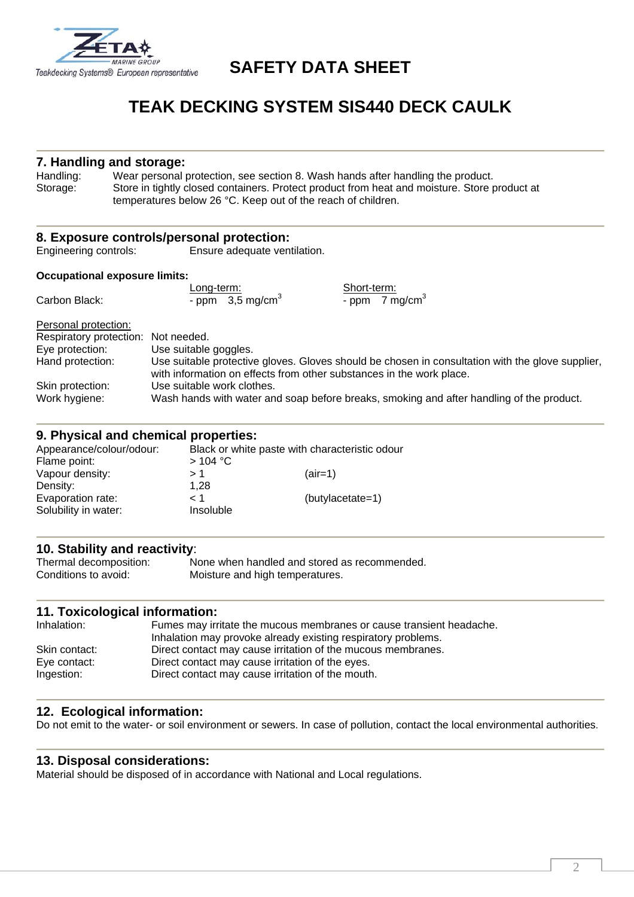

### **SAFETY DATA SHEET**

# **TEAK DECKING SYSTEM SIS440 DECK CAULK**

#### **7. Handling and storage:**

Handling: Wear personal protection, see section 8. Wash hands after handling the product. Storage: Store in tightly closed containers. Protect product from heat and moisture. Store product at temperatures below 26 °C. Keep out of the reach of children.

|                                      | 8. Exposure controls/personal protection:                                                                                                                                |  |  |
|--------------------------------------|--------------------------------------------------------------------------------------------------------------------------------------------------------------------------|--|--|
| Engineering controls:                | Ensure adequate ventilation.                                                                                                                                             |  |  |
| <b>Occupational exposure limits:</b> |                                                                                                                                                                          |  |  |
|                                      | Short-term:<br>Long-term:                                                                                                                                                |  |  |
| Carbon Black:                        | - ppm $3,5 \text{ mg/cm}^3$<br>- ppm $\overline{7}$ mg/cm <sup>3</sup>                                                                                                   |  |  |
| Personal protection:                 |                                                                                                                                                                          |  |  |
| Respiratory protection: Not needed.  |                                                                                                                                                                          |  |  |
| Eye protection:                      | Use suitable goggles.                                                                                                                                                    |  |  |
| Hand protection:                     | Use suitable protective gloves. Gloves should be chosen in consultation with the glove supplier,<br>with information on effects from other substances in the work place. |  |  |
| Skin protection:                     | Use suitable work clothes.                                                                                                                                               |  |  |
| Work hygiene:                        | Wash hands with water and soap before breaks, smoking and after handling of the product.                                                                                 |  |  |

#### **9. Physical and chemical properties:**

| Appearance/colour/odour:<br>Flame point: | Black or white paste with characteristic odour<br>$>104$ °C |                  |
|------------------------------------------|-------------------------------------------------------------|------------------|
| Vapour density:                          | >1                                                          | $(air=1)$        |
| Density:                                 | 1.28                                                        |                  |
| Evaporation rate:                        | 1 >                                                         | (butylacetate=1) |
| Solubility in water:                     | Insoluble                                                   |                  |

# **10. Stability and reactivity**:

None when handled and stored as recommended. Conditions to avoid: Moisture and high temperatures.

#### **11. Toxicological information:**

| Inhalation:   | Fumes may irritate the mucous membranes or cause transient headache.<br>Inhalation may provoke already existing respiratory problems. |
|---------------|---------------------------------------------------------------------------------------------------------------------------------------|
| Skin contact: | Direct contact may cause irritation of the mucous membranes.                                                                          |
| Eve contact:  | Direct contact may cause irritation of the eyes.                                                                                      |
| Ingestion:    | Direct contact may cause irritation of the mouth.                                                                                     |

#### **12. Ecological information:**

Do not emit to the water- or soil environment or sewers. In case of pollution, contact the local environmental authorities.

#### **13. Disposal considerations:**

Material should be disposed of in accordance with National and Local regulations.